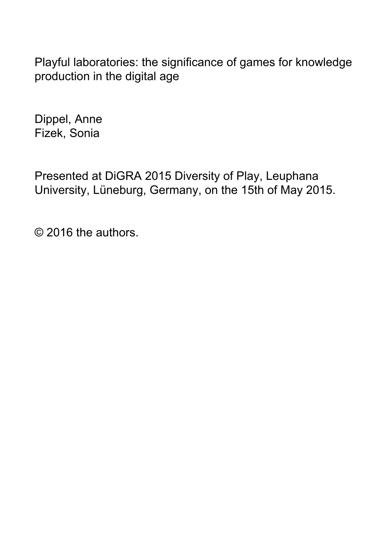Playful laboratories: the significance of games for knowledge production in the digital age

Dippel, Anne Fizek, Sonia

Presented at DiGRA 2015 Diversity of Play, Leuphana University, Lüneburg, Germany, on the 15th of May 2015.

© 2016 the authors.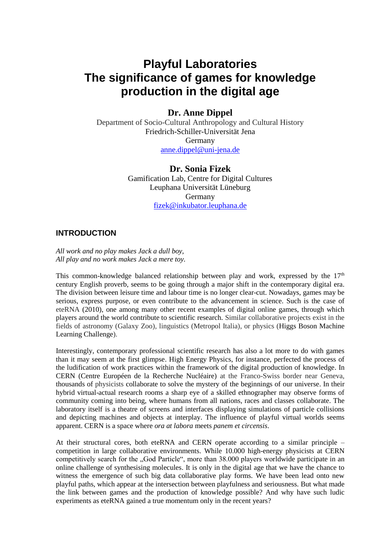# **Playful Laboratories The significance of games for knowledge production in the digital age**

# **Dr. Anne Dippel**

Department of Socio-Cultural Anthropology and Cultural History Friedrich-Schiller-Universität Jena Germany [anne.dippel@uni-jena.de](mailto:anne.dippel@uni-jena.de)

### **Dr. Sonia Fizek**

Gamification Lab, Centre for Digital Cultures Leuphana Universität Lüneburg Germany [fizek@inkubator.leuphana.de](mailto:fizek@inkubator.leuphana.de)

## **INTRODUCTION**

*All work and no play makes Jack a dull boy, All play and no work makes Jack a mere toy.*

This common-knowledge balanced relationship between play and work, expressed by the  $17<sup>th</sup>$ century English proverb, seems to be going through a major shift in the contemporary digital era. The division between leisure time and labour time is no longer clear-cut. Nowadays, games may be serious, express purpose, or even contribute to the advancement in science. Such is the case of eteRNA (2010), one among many other recent examples of digital online games, through which players around the world contribute to scientific research. Similar collaborative projects exist in the fields of astronomy (Galaxy Zoo), linguistics (Metropol Italia), or physics (Higgs Boson Machine Learning Challenge).

Interestingly, contemporary professional scientific research has also a lot more to do with games than it may seem at the first glimpse. High Energy Physics, for instance, perfected the process of the ludification of work practices within the framework of the digital production of knowledge. In CERN (Centre Européen de la Recherche Nucléaire) at the Franco-Swiss border near Geneva, thousands of physicists collaborate to solve the mystery of the beginnings of our universe. In their hybrid virtual-actual research rooms a sharp eye of a skilled ethnographer may observe forms of community coming into being, where humans from all nations, races and classes collaborate. The laboratory itself is a theatre of screens and interfaces displaying simulations of particle collisions and depicting machines and objects at interplay. The influence of playful virtual worlds seems apparent. CERN is a space where *ora at labora* meets *panem et circensis*.

At their structural cores, both eteRNA and CERN operate according to a similar principle – competition in large collaborative environments. While 10.000 high-energy physicists at CERN competitively search for the "God Particle", more than 38.000 players worldwide participate in an online challenge of synthesising molecules. It is only in the digital age that we have the chance to witness the emergence of such big data collaborative play forms. We have been lead onto new playful paths, which appear at the intersection between playfulness and seriousness. But what made the link between games and the production of knowledge possible? And why have such ludic experiments as eteRNA gained a true momentum only in the recent years?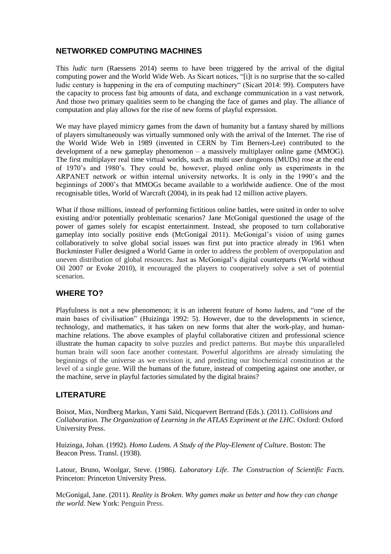## **NETWORKED COMPUTING MACHINES**

This *ludic turn* (Raessens 2014) seems to have been triggered by the arrival of the digital computing power and the World Wide Web. As Sicart notices, "[i]t is no surprise that the so-called ludic century is happening in the era of computing machinery" (Sicart 2014: 99). Computers have the capacity to process fast big amounts of data, and exchange communication in a vast network. And those two primary qualities seem to be changing the face of games and play. The alliance of computation and play allows for the rise of new forms of playful expression.

We may have played mimicry games from the dawn of humanity but a fantasy shared by millions of players simultaneously was virtually summoned only with the arrival of the Internet. The rise of the World Wide Web in 1989 (invented in CERN by Tim Berners-Lee) contributed to the development of a new gameplay phenomenon – a massively multiplayer online game (MMOG). The first multiplayer real time virtual worlds, such as multi user dungeons (MUDs) rose at the end of 1970's and 1980's. They could be, however, played online only as experiments in the ARPANET network or within internal university networks. It is only in the 1990's and the beginnings of 2000's that MMOGs became available to a worldwide audience. One of the most recognisable titles, World of Warcraft (2004), in its peak had 12 million active players.

What if those millions, instead of performing fictitious online battles, were united in order to solve existing and/or potentially problematic scenarios? Jane McGonigal questioned the usage of the power of games solely for escapist entertainment. Instead, she proposed to turn collaborative gameplay into socially positive ends (McGonigal 2011). McGonigal's vision of using games collaboratively to solve global social issues was first put into practice already in 1961 when Buckminster Fuller designed a World Game in order to address the problem of overpopulation and uneven distribution of global resources. Just as McGonigal's digital counterparts (World without Oil 2007 or Evoke 2010), it encouraged the players to cooperatively solve a set of potential scenarios.

## **WHERE TO?**

Playfulness is not a new phenomenon; it is an inherent feature of *homo ludens*, and "one of the main bases of civilisation" (Huizinga 1992: 5). However, due to the developments in science, technology, and mathematics, it has taken on new forms that alter the work-play, and humanmachine relations. The above examples of playful collaborative citizen and professional science illustrate the human capacity to solve puzzles and predict patterns. But maybe this unparalleled human brain will soon face another contestant. Powerful algorithms are already simulating the beginnings of the universe as we envision it, and predicting our biochemical constitution at the level of a single gene. Will the humans of the future, instead of competing against one another, or the machine, serve in playful factories simulated by the digital brains?

### **LITERATURE**

Boisot, Max, Nordberg Markus, Yami Saïd, Nicquevert Bertrand (Eds.). (2011). *Collisions and Collaboration. The Organization of Learning in the ATLAS Expriment at the LHC.* Oxford: Oxford University Press.

Huizinga, Johan. (1992). *Homo Ludens. A Study of the Play-Element of Culture*. Boston: The Beacon Press. Transl. (1938).

Latour, Bruno, Woolgar, Steve. (1986). *Laboratory Life. The Construction of Scientific Facts.* Princeton: Princeton University Press.

McGonigal, Jane. (2011). *Reality is Broken. Why games make us better and how they can change the world*. New York: Penguin Press.